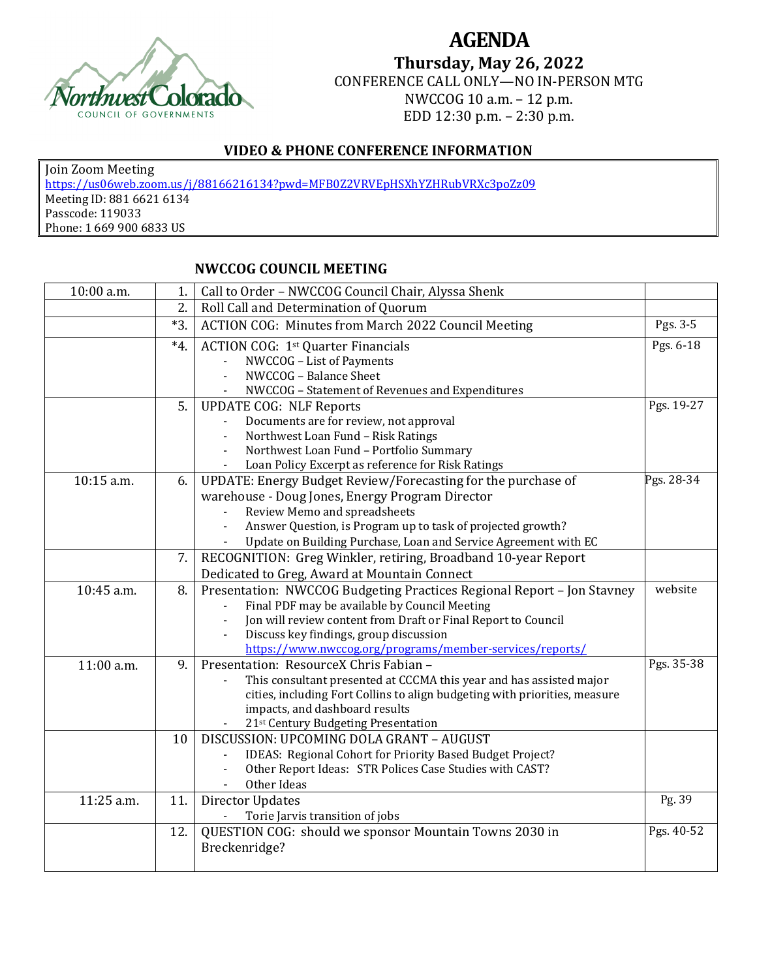

## **AGENDA Thursday, May 26, 2022** CONFERENCE CALL ONLY—NO IN-PERSON MTG NWCCOG 10 a.m. – 12 p.m. EDD 12:30 p.m. – 2:30 p.m.

## **VIDEO & PHONE CONFERENCE INFORMATION**

Join Zoom Meeting https://us06web.zoom.us/j/88166216134?pwd=MFB0Z2VRVEpHSXhYZHRubVRXc3poZz09 Meeting ID: 881 6621 6134 Passcode: 119033 Phone: 1 669 900 6833 US

## **NWCCOG COUNCIL MEETING**

| 10:00 a.m. | 1.       | Call to Order - NWCCOG Council Chair, Alyssa Shenk                         |            |
|------------|----------|----------------------------------------------------------------------------|------------|
|            | 2.       | Roll Call and Determination of Quorum                                      |            |
|            | $*3.$    | <b>ACTION COG: Minutes from March 2022 Council Meeting</b>                 | Pgs. 3-5   |
|            | $*_{4.}$ | <b>ACTION COG: 1st Quarter Financials</b>                                  | Pgs. 6-18  |
|            |          | NWCCOG - List of Payments                                                  |            |
|            |          | NWCCOG - Balance Sheet                                                     |            |
|            |          | NWCCOG - Statement of Revenues and Expenditures                            |            |
|            | 5.       | <b>UPDATE COG: NLF Reports</b>                                             | Pgs. 19-27 |
|            |          | Documents are for review, not approval                                     |            |
|            |          | Northwest Loan Fund - Risk Ratings                                         |            |
|            |          | Northwest Loan Fund - Portfolio Summary                                    |            |
|            |          | Loan Policy Excerpt as reference for Risk Ratings                          |            |
| 10:15 a.m. | 6.       | UPDATE: Energy Budget Review/Forecasting for the purchase of               | Pgs. 28-34 |
|            |          | warehouse - Doug Jones, Energy Program Director                            |            |
|            |          | Review Memo and spreadsheets                                               |            |
|            |          | Answer Question, is Program up to task of projected growth?                |            |
|            |          | Update on Building Purchase, Loan and Service Agreement with EC            |            |
|            | 7.       | RECOGNITION: Greg Winkler, retiring, Broadband 10-year Report              |            |
|            |          | Dedicated to Greg, Award at Mountain Connect                               |            |
| 10:45 a.m. | 8.       | Presentation: NWCCOG Budgeting Practices Regional Report - Jon Stavney     | website    |
|            |          | Final PDF may be available by Council Meeting                              |            |
|            |          | Jon will review content from Draft or Final Report to Council              |            |
|            |          | Discuss key findings, group discussion                                     |            |
|            |          | https://www.nwccog.org/programs/member-services/reports/                   |            |
| 11:00 a.m. | 9.       | Presentation: ResourceX Chris Fabian -                                     | Pgs. 35-38 |
|            |          | This consultant presented at CCCMA this year and has assisted major        |            |
|            |          | cities, including Fort Collins to align budgeting with priorities, measure |            |
|            |          | impacts, and dashboard results                                             |            |
|            |          | 21st Century Budgeting Presentation                                        |            |
|            | 10       | DISCUSSION: UPCOMING DOLA GRANT - AUGUST                                   |            |
|            |          | IDEAS: Regional Cohort for Priority Based Budget Project?                  |            |
|            |          | Other Report Ideas: STR Polices Case Studies with CAST?                    |            |
|            |          | Other Ideas                                                                |            |
| 11:25 a.m. | 11.      | <b>Director Updates</b>                                                    | Pg. 39     |
|            |          | Torie Jarvis transition of jobs                                            |            |
|            | 12.      | QUESTION COG: should we sponsor Mountain Towns 2030 in                     | Pgs. 40-52 |
|            |          | Breckenridge?                                                              |            |
|            |          |                                                                            |            |